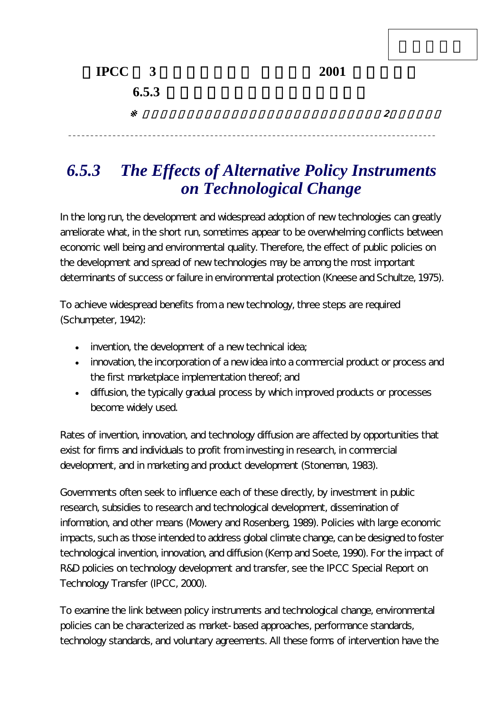| $\text{IPCC} \quad 3$ | 2001 |                            |
|-----------------------|------|----------------------------|
| 6.5.3                 |      |                            |
|                       |      | 0<br>$\tilde{\phantom{a}}$ |

## *6.5.3 The Effects of Alternative Policy Instruments on Technological Change*

In the long run, the development and widespread adoption of new technologies can greatly ameliorate what, in the short run, sometimes appear to be overwhelming conflicts between economic well being and environmental quality. Therefore, the effect of public policies on the development and spread of new technologies may be among the most important determinants of success or failure in environmental protection (Kneese and Schultze, 1975).

To achieve widespread benefits from a new technology, three steps are required (Schumpeter, 1942):

- invention, the development of a new technical idea;
- innovation, the incorporation of a new idea into a commercial product or process and the first marketplace implementation thereof; and
- diffusion, the typically gradual process by which improved products or processes become widely used.

Rates of invention, innovation, and technology diffusion are affected by opportunities that exist for firms and individuals to profit from investing in research, in commercial development, and in marketing and product development (Stoneman, 1983).

Governments often seek to influence each of these directly, by investment in public research, subsidies to research and technological development, dissemination of information, and other means (Mowery and Rosenberg, 1989). Policies with large economic impacts, such as those intended to address global climate change, can be designed to foster technological invention, innovation, and diffusion (Kemp and Soete, 1990). For the impact of R&D policies on technology development and transfer, see the IPCC Special Report on Technology Transfer (IPCC, 2000).

To examine the link between policy instruments and technological change, environmental policies can be characterized as market-based approaches, performance standards, technology standards, and voluntary agreements. All these forms of intervention have the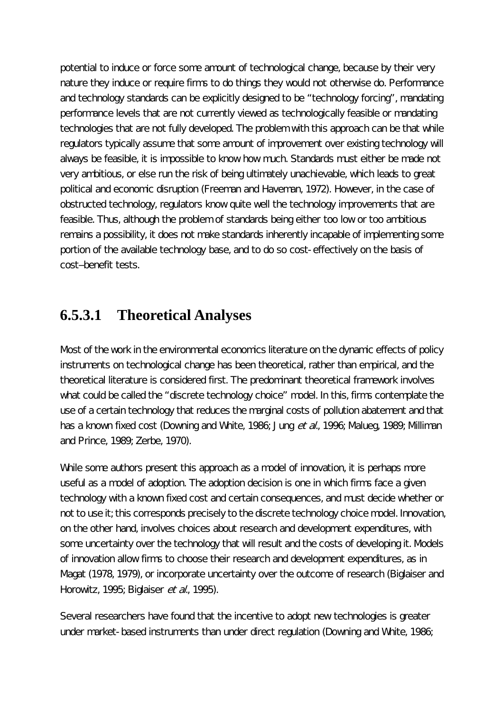potential to induce or force some amount of technological change, because by their very nature they induce or require firms to do things they would not otherwise do. Performance and technology standards can be explicitly designed to be "technology forcing", mandating performance levels that are not currently viewed as technologically feasible or mandating technologies that are not fully developed. The problem with this approach can be that while regulators typically assume that some amount of improvement over existing technology will always be feasible, it is impossible to know how much. Standards must either be made not very ambitious, or else run the risk of being ultimately unachievable, which leads to great political and economic disruption (Freeman and Haveman, 1972). However, in the case of obstructed technology, regulators know quite well the technology improvements that are feasible. Thus, although the problem of standards being either too low or too ambitious remains a possibility, it does not make standards inherently incapable of implementing some portion of the available technology base, and to do so cost-effectively on the basis of cost‒benefit tests.

## **6.5.3.1 Theoretical Analyses**

Most of the work in the environmental economics literature on the dynamic effects of policy instruments on technological change has been theoretical, rather than empirical, and the theoretical literature is considered first. The predominant theoretical framework involves what could be called the "discrete technology choice" model. In this, firms contemplate the use of a certain technology that reduces the marginal costs of pollution abatement and that has a known fixed cost (Downing and White, 1986; Jung et al., 1996; Malueg, 1989; Milliman and Prince, 1989; Zerbe, 1970).

While some authors present this approach as a model of innovation, it is perhaps more useful as a model of adoption. The adoption decision is one in which firms face a given technology with a known fixed cost and certain consequences, and must decide whether or not to use it; this corresponds precisely to the discrete technology choice model. Innovation, on the other hand, involves choices about research and development expenditures, with some uncertainty over the technology that will result and the costs of developing it. Models of innovation allow firms to choose their research and development expenditures, as in Magat (1978, 1979), or incorporate uncertainty over the outcome of research (Biglaiser and Horowitz, 1995; Biglaiser et al., 1995).

Several researchers have found that the incentive to adopt new technologies is greater under market-based instruments than under direct regulation (Downing and White, 1986;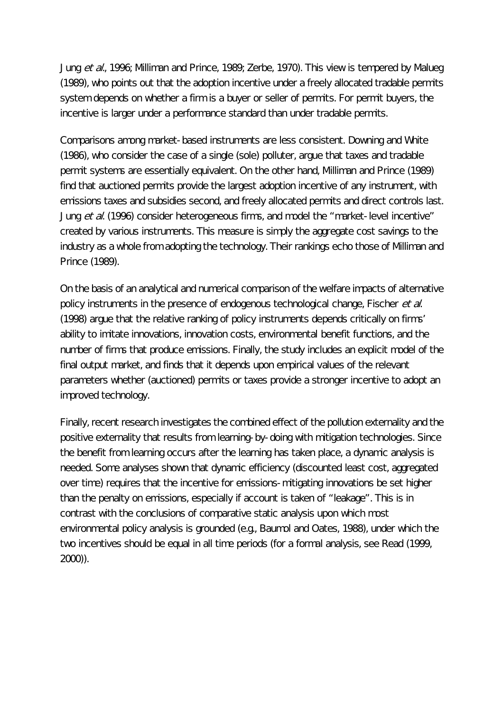Jung et al., 1996; Milliman and Prince, 1989; Zerbe, 1970). This view is tempered by Malueg (1989), who points out that the adoption incentive under a freely allocated tradable permits system depends on whether a firm is a buyer or seller of permits. For permit buyers, the incentive is larger under a performance standard than under tradable permits.

Comparisons among market-based instruments are less consistent. Downing and White (1986), who consider the case of a single (sole) polluter, argue that taxes and tradable permit systems are essentially equivalent. On the other hand, Milliman and Prince (1989) find that auctioned permits provide the largest adoption incentive of any instrument, with emissions taxes and subsidies second, and freely allocated permits and direct controls last. Jung et al. (1996) consider heterogeneous firms, and model the "market-level incentive" created by various instruments. This measure is simply the aggregate cost savings to the industry as a whole from adopting the technology. Their rankings echo those of Milliman and Prince (1989).

On the basis of an analytical and numerical comparison of the welfare impacts of alternative policy instruments in the presence of endogenous technological change, Fischer et al. (1998) argue that the relative ranking of policy instruments depends critically on firms' ability to imitate innovations, innovation costs, environmental benefit functions, and the number of firms that produce emissions. Finally, the study includes an explicit model of the final output market, and finds that it depends upon empirical values of the relevant parameters whether (auctioned) permits or taxes provide a stronger incentive to adopt an improved technology.

Finally, recent research investigates the combined effect of the pollution externality and the positive externality that results from learning-by-doing with mitigation technologies. Since the benefit from learning occurs after the learning has taken place, a dynamic analysis is needed. Some analyses shown that dynamic efficiency (discounted least cost, aggregated over time) requires that the incentive for emissions-mitigating innovations be set higher than the penalty on emissions, especially if account is taken of "leakage". This is in contrast with the conclusions of comparative static analysis upon which most environmental policy analysis is grounded (e.g., Baumol and Oates, 1988), under which the two incentives should be equal in all time periods (for a formal analysis, see Read (1999, 2000)).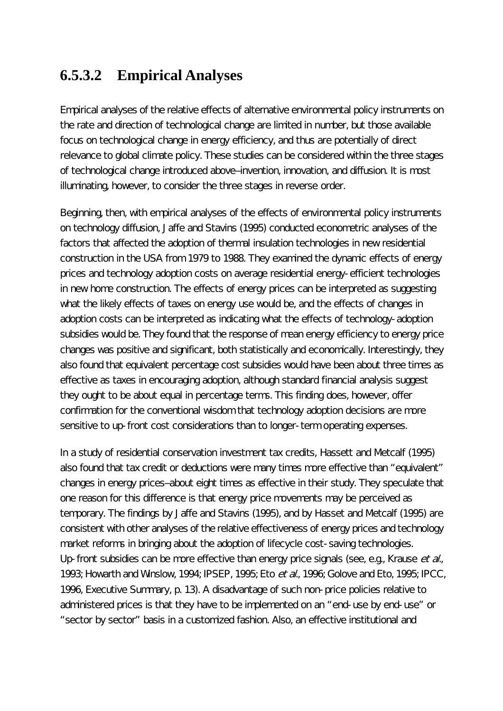## **6.5.3.2 Empirical Analyses**

Empirical analyses of the relative effects of alternative environmental policy instruments on the rate and direction of technological change are limited in number, but those available focus on technological change in energy efficiency, and thus are potentially of direct relevance to global climate policy. These studies can be considered within the three stages of technological change introduced above invention, innovation, and diffusion. It is most illuminating, however, to consider the three stages in reverse order.

Beginning, then, with empirical analyses of the effects of environmental policy instruments on technology diffusion, Jaffe and Stavins (1995) conducted econometric analyses of the factors that affected the adoption of thermal insulation technologies in new residential construction in the USA from 1979 to 1988. They examined the dynamic effects of energy prices and technology adoption costs on average residential energy-efficient technologies in new home construction. The effects of energy prices can be interpreted as suggesting what the likely effects of taxes on energy use would be, and the effects of changes in adoption costs can be interpreted as indicating what the effects of technology-adoption subsidies would be. They found that the response of mean energy efficiency to energy price changes was positive and significant, both statistically and economically. Interestingly, they also found that equivalent percentage cost subsidies would have been about three times as effective as taxes in encouraging adoption, although standard financial analysis suggest they ought to be about equal in percentage terms. This finding does, however, offer confirmation for the conventional wisdom that technology adoption decisions are more sensitive to up-front cost considerations than to longer-term operating expenses.

In a study of residential conservation investment tax credits, Hassett and Metcalf (1995) also found that tax credit or deductions were many times more effective than "equivalent" changes in energy prices about eight times as effective in their study. They speculate that one reason for this difference is that energy price movements may be perceived as temporary. The findings by Jaffe and Stavins (1995), and by Hasset and Metcalf (1995) are consistent with other analyses of the relative effectiveness of energy prices and technology market reforms in bringing about the adoption of lifecycle cost-saving technologies. Up-front subsidies can be more effective than energy price signals (see, e.g., Krause et al., 1993; Howarth and Winslow, 1994; IPSEP, 1995; Eto et al., 1996; Golove and Eto, 1995; IPCC, 1996, Executive Summary, p. 13). A disadvantage of such non-price policies relative to administered prices is that they have to be implemented on an "end-use by end-use" or "sector by sector" basis in a customized fashion. Also, an effective institutional and